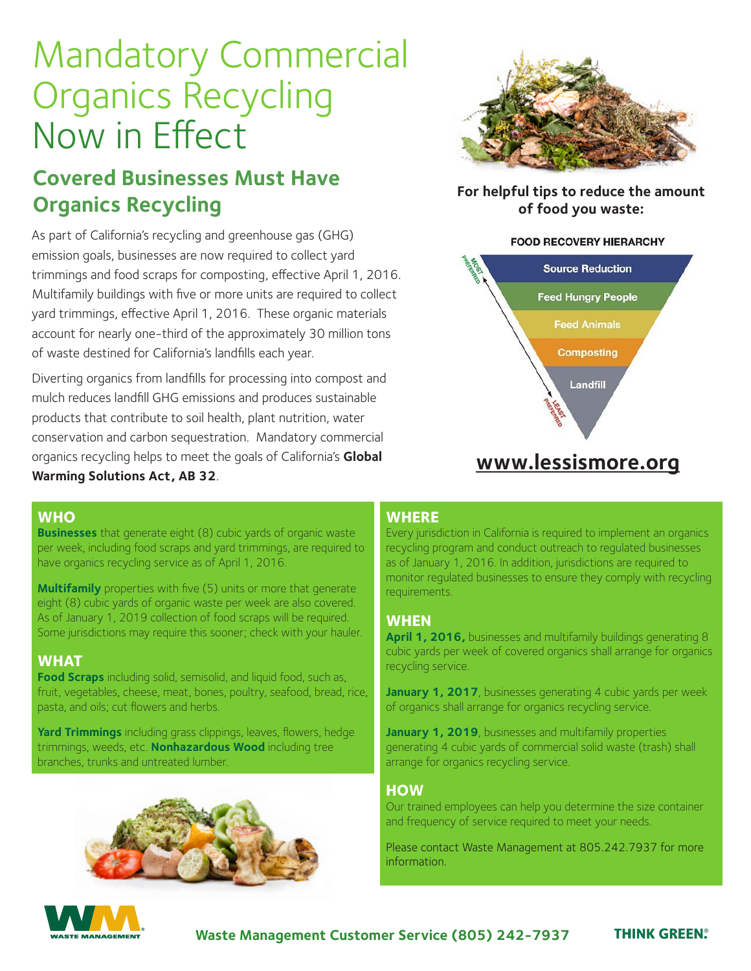# Mandatory Commercial Organics Recycling Now in Effect

## **Covered Businesses Must Have Organics Recycling**

As part of California's recycling and greenhouse gas (GHG) emission goals, businesses are now required to collect yard trimmings and food scraps for composting, effective April 1, 2016. Multifamily buildings with five or more units are required to collect yard trimmings, effective April 1, 2016. These organic materials account for nearly one-third of the approximately 30 million tons of waste destined for California's landfills each year.

Diverting organics from landfills for processing into compost and mulch reduces landfill GHG emissions and produces sustainable products that contribute to soil health, plant nutrition, water conservation and carbon sequestration. Mandatory commercial organics recycling helps to meet the goals of California's **Global Warming Solutions Act, AB 32**.



**For helpful tips to reduce the amount of food you waste:**

#### **FOOD RECOVERY HIERARCHY**



## **www.lessismore.org**

#### **WHO**

**Businesses** that generate eight (8) cubic yards of organic waste per week, including food scraps and yard trimmings, are required to have organics recycling service as of April 1, 2016.

**Multifamily** properties with five (5) units or more that generate eight (8) cubic yards of organic waste per week are also covered. As of January 1, 2019 collection of food scraps will be required. Some jurisdictions may require this sooner; check with your hauler.

#### **WHAT**

**Food Scraps** including solid, semisolid, and liquid food, such as, fruit, vegetables, cheese, meat, bones, poultry, seafood, bread, rice, pasta, and oils; cut flowers and herbs.

**Yard Trimmings** including grass clippings, leaves, flowers, hedge trimmings, weeds, etc. **Nonhazardous Wood** including tree branches, trunks and untreated lumber.



#### **WHERE**

Every jurisdiction in California is required to implement an organics recycling program and conduct outreach to regulated businesses as of January 1, 2016. In addition, jurisdictions are required to monitor regulated businesses to ensure they comply with recycling requirements.

#### **WHEN**

**April 1, 2016,** businesses and multifamily buildings generating 8 cubic yards per week of covered organics shall arrange for organics recycling service.

**January 1, 2017**, businesses generating 4 cubic yards per week of organics shall arrange for organics recycling service.

**January 1, 2019**, businesses and multifamily properties generating 4 cubic yards of commercial solid waste (trash) shall arrange for organics recycling service.

#### **HOW**

Our trained employees can help you determine the size container and frequency of service required to meet your needs.

Please contact Waste Management at 805.242.7937 for more information.